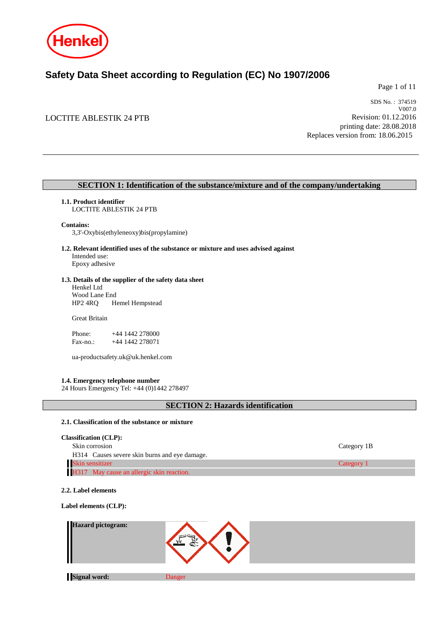

## **Safety Data Sheet according to Regulation (EC) No 1907/2006**

Page 1 of 11

## LOCTITE ABLESTIK 24 PTB

SDS No. : 374519 V007.0 Revision: 01.12.2016 printing date: 28.08.2018 Replaces version from: 18.06.2015

## **SECTION 1: Identification of the substance/mixture and of the company/undertaking**

## **1.1. Product identifier**

LOCTITE ABLESTIK 24 PTB

#### **Contains:**

3,3'-Oxybis(ethyleneoxy)bis(propylamine)

**1.2. Relevant identified uses of the substance or mixture and uses advised against** Intended use: Epoxy adhesive

## **1.3. Details of the supplier of the safety data sheet**

Henkel Ltd Wood Lane End<br>HP2 4RQ H Hemel Hempstead

Great Britain

Phone: +44 1442 278000<br>Fax-no.: +44 1442 278071 +44 1442 278071

ua-productsafety.uk@uk.henkel.com

## **1.4. Emergency telephone number**

24 Hours Emergency Tel: +44 (0)1442 278497

## **SECTION 2: Hazards identification**

#### **2.1. Classification of the substance or mixture**

| <b>Classification (CLP):</b>                  |             |
|-----------------------------------------------|-------------|
| Skin corrosion                                | Category 1B |
| H314 Causes severe skin burns and eye damage. |             |
| Skin sensitizer                               | Category 1  |
| H317 May cause an allergic skin reaction.     |             |

## **2.2. Label elements**

**Label elements (CLP):**

| Hazard pictogram:<br>H |        |  |
|------------------------|--------|--|
|                        |        |  |
| <b>Signal word:</b>    | Danger |  |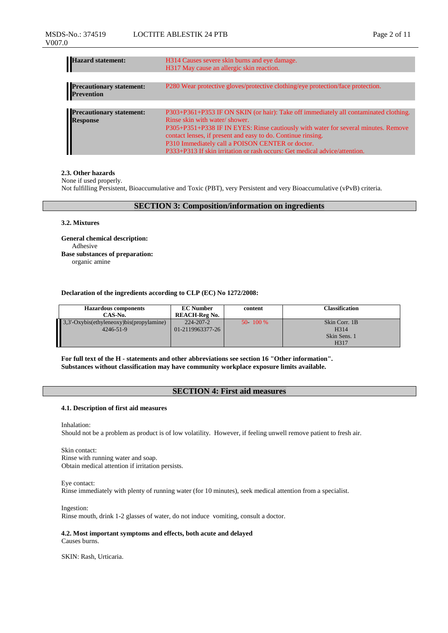| Hazard statement:                             | H314 Causes severe skin burns and eye damage.<br>H317 May cause an allergic skin reaction.                                                                                                                                                                                                                                                                                                                    |
|-----------------------------------------------|---------------------------------------------------------------------------------------------------------------------------------------------------------------------------------------------------------------------------------------------------------------------------------------------------------------------------------------------------------------------------------------------------------------|
| <b>Precautionary statement:</b><br>Prevention | P280 Wear protective gloves/protective clothing/eye protection/face protection.                                                                                                                                                                                                                                                                                                                               |
| Precautionary statement:<br>Response          | P303+P361+P353 IF ON SKIN (or hair): Take off immediately all contaminated clothing.<br>Rinse skin with water/shower.<br>P305+P351+P338 IF IN EYES: Rinse cautiously with water for several minutes. Remove<br>contact lenses, if present and easy to do. Continue rinsing.<br>P310 Immediately call a POISON CENTER or doctor.<br>P333+P313 If skin irritation or rash occurs: Get medical advice/attention. |

#### **2.3. Other hazards**

None if used properly.

Not fulfilling Persistent, Bioaccumulative and Toxic (PBT), very Persistent and very Bioaccumulative (vPvB) criteria.

## **SECTION 3: Composition/information on ingredients**

#### **3.2. Mixtures**

**General chemical description:** Adhesive **Base substances of preparation:** organic amine

#### **Declaration of the ingredients according to CLP (EC) No 1272/2008:**

| <b>Hazardous components</b>              | <b>EC Number</b>     | content  | Classification    |
|------------------------------------------|----------------------|----------|-------------------|
| CAS-No.                                  | <b>REACH-Reg No.</b> |          |                   |
| 3,3'-Oxybis(ethyleneoxy)bis(propylamine) | 224-207-2            | 50 100 % | Skin Corr. 1B     |
| $4246 - 51 - 9$                          | 01-2119963377-26     |          | H <sub>3</sub> 14 |
|                                          |                      |          | Skin Sens. 1      |
|                                          |                      |          | H317              |

**For full text of the H - statements and other abbreviations see section 16 "Other information". Substances without classification may have community workplace exposure limits available.**

## **SECTION 4: First aid measures**

## **4.1. Description of first aid measures**

Inhalation:

Should not be a problem as product is of low volatility. However, if feeling unwell remove patient to fresh air.

Skin contact: Rinse with running water and soap. Obtain medical attention if irritation persists.

Eye contact: Rinse immediately with plenty of running water (for 10 minutes), seek medical attention from a specialist.

Ingestion: Rinse mouth, drink 1-2 glasses of water, do not induce vomiting, consult a doctor.

**4.2. Most important symptoms and effects, both acute and delayed** Causes burns.

SKIN: Rash, Urticaria.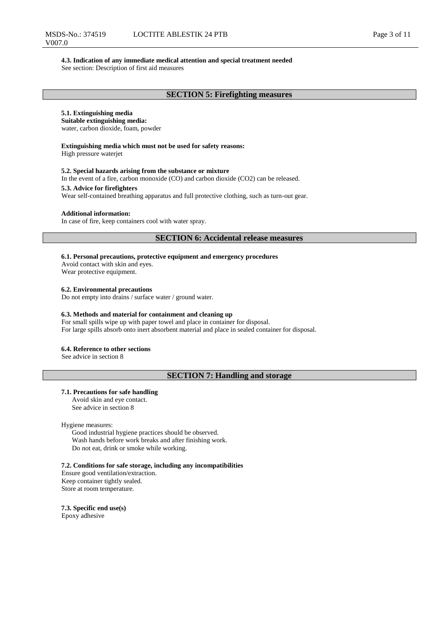#### **4.3. Indication of any immediate medical attention and special treatment needed**

See section: Description of first aid measures

## **5.1. Extinguishing media**

**Suitable extinguishing media:** water, carbon dioxide, foam, powder

## **Extinguishing media which must not be used for safety reasons:**

High pressure waterjet

#### **5.2. Special hazards arising from the substance or mixture**

In the event of a fire, carbon monoxide (CO) and carbon dioxide (CO2) can be released.

#### **5.3. Advice for firefighters**

Wear self-contained breathing apparatus and full protective clothing, such as turn-out gear.

## **Additional information:**

In case of fire, keep containers cool with water spray.

## **SECTION 6: Accidental release measures**

**6.1. Personal precautions, protective equipment and emergency procedures**

Avoid contact with skin and eyes. Wear protective equipment.

**6.2. Environmental precautions**

Do not empty into drains / surface water / ground water.

#### **6.3. Methods and material for containment and cleaning up**

For small spills wipe up with paper towel and place in container for disposal. For large spills absorb onto inert absorbent material and place in sealed container for disposal.

## **6.4. Reference to other sections**

See advice in section 8

## **SECTION 7: Handling and storage**

#### **7.1. Precautions for safe handling**

Avoid skin and eye contact. See advice in section 8

Hygiene measures:

Good industrial hygiene practices should be observed. Wash hands before work breaks and after finishing work. Do not eat, drink or smoke while working.

**7.2. Conditions for safe storage, including any incompatibilities**

Ensure good ventilation/extraction. Keep container tightly sealed. Store at room temperature.

**7.3. Specific end use(s)** Epoxy adhesive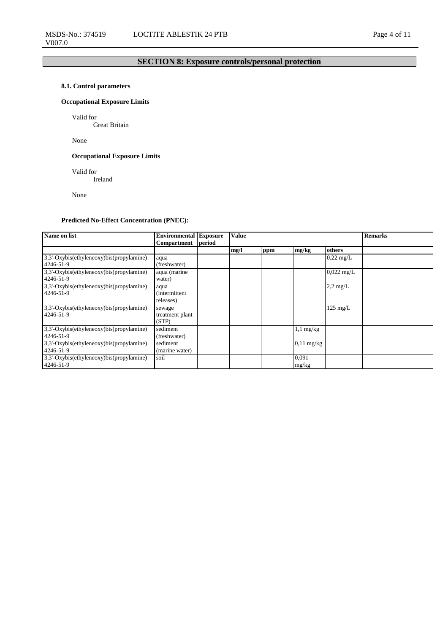## **SECTION 8: Exposure controls/personal protection**

## **8.1. Control parameters**

## **Occupational Exposure Limits**

Valid for

Great Britain

None

## **Occupational Exposure Limits**

Valid for

Ireland

None

## **Predicted No-Effect Concentration (PNEC):**

| Name on list                                            | <b>Environmental Exposure</b>              |        | <b>Value</b> |     |                      |                     | <b>Remarks</b> |
|---------------------------------------------------------|--------------------------------------------|--------|--------------|-----|----------------------|---------------------|----------------|
|                                                         | <b>Compartment</b>                         | period |              |     |                      |                     |                |
|                                                         |                                            |        | mg/l         | ppm | mg/kg                | others              |                |
| $3,3'-Oxybis(ethyleneoxy)bis(propylamine)$<br>4246-51-9 | aqua<br>(freshwater)                       |        |              |     |                      | $0,22 \text{ mg/L}$ |                |
| $3,3'-Oxybis(ethyleneoxy)bis(propylamine)$<br>4246-51-9 | aqua (marine<br>water)                     |        |              |     |                      | $0.022$ mg/L        |                |
| $3,3'-Oxybis(ethyleneoxy)bis(propylamine)$<br>4246-51-9 | aqua<br><i>(intermittent)</i><br>releases) |        |              |     |                      | $2,2$ mg/L          |                |
| $3,3'-Oxybis(ethyleneoxy)bis(propylamine)$<br>4246-51-9 | sewage<br>treatment plant<br>(STP)         |        |              |     |                      | $125 \text{ mg/L}$  |                |
| $3,3'-Oxybis(ethyleneoxy)bis(propylamine)$<br>4246-51-9 | sediment<br>(freshwater)                   |        |              |     | $1,1$ mg/kg          |                     |                |
| $3,3'-Oxybis(ethyleneoxy)bis(propylamine)$<br>4246-51-9 | sediment<br>(marine water)                 |        |              |     | $0,11 \text{ mg/kg}$ |                     |                |
| $3,3'-Oxybis(ethyleneoxy)bis(propylamine)$<br>4246-51-9 | soil                                       |        |              |     | 0.091<br>mg/kg       |                     |                |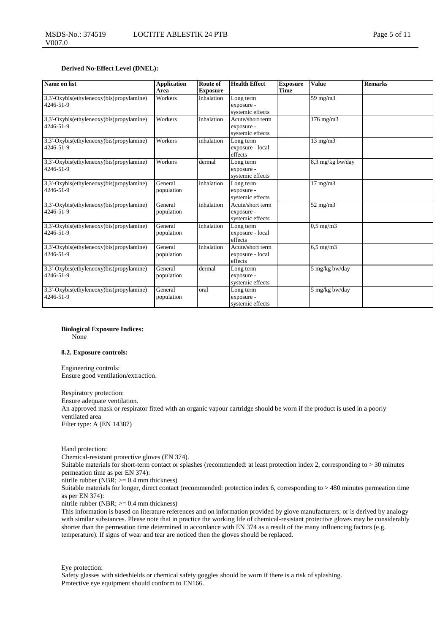#### **Derived No-Effect Level (DNEL):**

| Name on list                                          | <b>Application</b><br>Area | Route of<br><b>Exposure</b> | <b>Health Effect</b>                               | <b>Exposure</b><br><b>Time</b> | <b>Value</b>         | <b>Remarks</b> |
|-------------------------------------------------------|----------------------------|-----------------------------|----------------------------------------------------|--------------------------------|----------------------|----------------|
| 3,3'-Oxybis(ethyleneoxy)bis(propylamine)<br>4246-51-9 | Workers                    | inhalation                  | Long term<br>exposure -<br>systemic effects        |                                | $59 \text{ mg/m}$    |                |
| 3,3'-Oxybis(ethyleneoxy)bis(propylamine)<br>4246-51-9 | Workers                    | inhalation                  | Acute/short term<br>exposure -<br>systemic effects |                                | $176$ mg/m $3$       |                |
| 3.3'-Oxybis(ethyleneoxy)bis(propylamine)<br>4246-51-9 | Workers                    | inhalation                  | Long term<br>exposure - local<br>effects           |                                | $13 \text{ mg/m}$    |                |
| 3,3'-Oxybis(ethyleneoxy)bis(propylamine)<br>4246-51-9 | Workers                    | dermal                      | Long term<br>exposure -<br>systemic effects        |                                | 8,3 mg/kg bw/day     |                |
| 3,3'-Oxybis(ethyleneoxy)bis(propylamine)<br>4246-51-9 | General<br>population      | inhalation                  | Long term<br>exposure -<br>systemic effects        |                                | $17 \text{ mg/m}$    |                |
| 3,3'-Oxybis(ethyleneoxy)bis(propylamine)<br>4246-51-9 | General<br>population      | inhalation                  | Acute/short term<br>exposure -<br>systemic effects |                                | $52$ mg/m $3$        |                |
| 3,3'-Oxybis(ethyleneoxy)bis(propylamine)<br>4246-51-9 | General<br>population      | inhalation                  | Long term<br>exposure - local<br>effects           |                                | $0.5 \text{ mg/m}$ 3 |                |
| 3.3'-Oxybis(ethyleneoxy)bis(propylamine)<br>4246-51-9 | General<br>population      | inhalation                  | Acute/short term<br>exposure - local<br>effects    |                                | $6.5 \text{ mg/m}$   |                |
| 3,3'-Oxybis(ethyleneoxy)bis(propylamine)<br>4246-51-9 | General<br>population      | dermal                      | Long term<br>exposure -<br>systemic effects        |                                | 5 mg/kg bw/day       |                |
| 3,3'-Oxybis(ethyleneoxy)bis(propylamine)<br>4246-51-9 | General<br>population      | oral                        | Long term<br>exposure -<br>systemic effects        |                                | 5 mg/kg bw/day       |                |

**Biological Exposure Indices:**

None

#### **8.2. Exposure controls:**

Engineering controls: Ensure good ventilation/extraction.

Respiratory protection: Ensure adequate ventilation. An approved mask or respirator fitted with an organic vapour cartridge should be worn if the product is used in a poorly ventilated area Filter type: A (EN 14387)

Hand protection:

Chemical-resistant protective gloves (EN 374). Suitable materials for short-term contact or splashes (recommended: at least protection index 2, corresponding to > 30 minutes permeation time as per EN 374):

nitrile rubber (NBR; >= 0.4 mm thickness)

Suitable materials for longer, direct contact (recommended: protection index 6, corresponding to > 480 minutes permeation time as per EN 374):

nitrile rubber (NBR; >= 0.4 mm thickness)

This information is based on literature references and on information provided by glove manufacturers, or is derived by analogy with similar substances. Please note that in practice the working life of chemical-resistant protective gloves may be considerably shorter than the permeation time determined in accordance with EN 374 as a result of the many influencing factors (e.g. temperature). If signs of wear and tear are noticed then the gloves should be replaced.

Eye protection:

Safety glasses with sideshields or chemical safety goggles should be worn if there is a risk of splashing. Protective eye equipment should conform to EN166.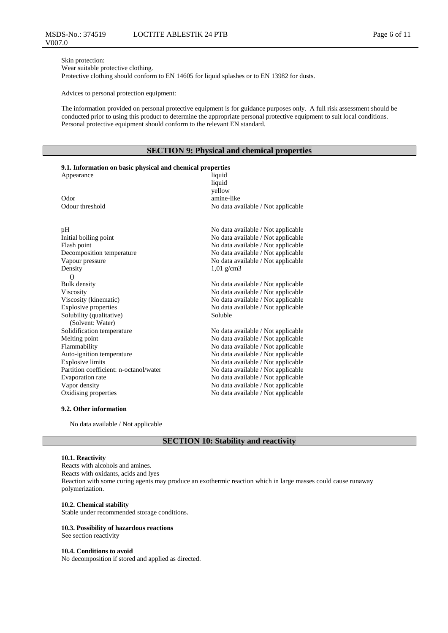Skin protection: Wear suitable protective clothing.

Protective clothing should conform to EN 14605 for liquid splashes or to EN 13982 for dusts.

Advices to personal protection equipment:

The information provided on personal protective equipment is for guidance purposes only. A full risk assessment should be conducted prior to using this product to determine the appropriate personal protective equipment to suit local conditions. Personal protective equipment should conform to the relevant EN standard.

## **SECTION 9: Physical and chemical properties**

| 9.1. Information on basic physical and chemical properties |                                    |  |  |  |  |  |  |
|------------------------------------------------------------|------------------------------------|--|--|--|--|--|--|
| Appearance                                                 | liquid                             |  |  |  |  |  |  |
|                                                            | liquid                             |  |  |  |  |  |  |
|                                                            | yellow                             |  |  |  |  |  |  |
| Odor                                                       | amine-like                         |  |  |  |  |  |  |
| Odour threshold                                            | No data available / Not applicable |  |  |  |  |  |  |
|                                                            |                                    |  |  |  |  |  |  |
| pH                                                         | No data available / Not applicable |  |  |  |  |  |  |
| Initial boiling point                                      | No data available / Not applicable |  |  |  |  |  |  |
| Flash point                                                | No data available / Not applicable |  |  |  |  |  |  |
| Decomposition temperature                                  | No data available / Not applicable |  |  |  |  |  |  |
| Vapour pressure                                            | No data available / Not applicable |  |  |  |  |  |  |
| Density                                                    | $1,01 \text{ g/cm}$ 3              |  |  |  |  |  |  |
| $\bigcirc$                                                 |                                    |  |  |  |  |  |  |
| <b>Bulk density</b>                                        | No data available / Not applicable |  |  |  |  |  |  |
| Viscosity                                                  | No data available / Not applicable |  |  |  |  |  |  |
| Viscosity (kinematic)                                      | No data available / Not applicable |  |  |  |  |  |  |
| <b>Explosive properties</b>                                | No data available / Not applicable |  |  |  |  |  |  |
| Solubility (qualitative)                                   | Soluble                            |  |  |  |  |  |  |
| (Solvent: Water)                                           |                                    |  |  |  |  |  |  |
| Solidification temperature                                 | No data available / Not applicable |  |  |  |  |  |  |
| Melting point                                              | No data available / Not applicable |  |  |  |  |  |  |
| Flammability                                               | No data available / Not applicable |  |  |  |  |  |  |
| Auto-ignition temperature                                  | No data available / Not applicable |  |  |  |  |  |  |
| <b>Explosive limits</b>                                    | No data available / Not applicable |  |  |  |  |  |  |
| Partition coefficient: n-octanol/water                     | No data available / Not applicable |  |  |  |  |  |  |
| Evaporation rate                                           | No data available / Not applicable |  |  |  |  |  |  |
| Vapor density                                              | No data available / Not applicable |  |  |  |  |  |  |
| Oxidising properties                                       | No data available / Not applicable |  |  |  |  |  |  |

## **9.2. Other information**

No data available / Not applicable

## **SECTION 10: Stability and reactivity**

#### **10.1. Reactivity**

Reacts with alcohols and amines. Reacts with oxidants, acids and lyes Reaction with some curing agents may produce an exothermic reaction which in large masses could cause runaway polymerization.

#### **10.2. Chemical stability**

Stable under recommended storage conditions.

#### **10.3. Possibility of hazardous reactions**

See section reactivity

## **10.4. Conditions to avoid**

No decomposition if stored and applied as directed.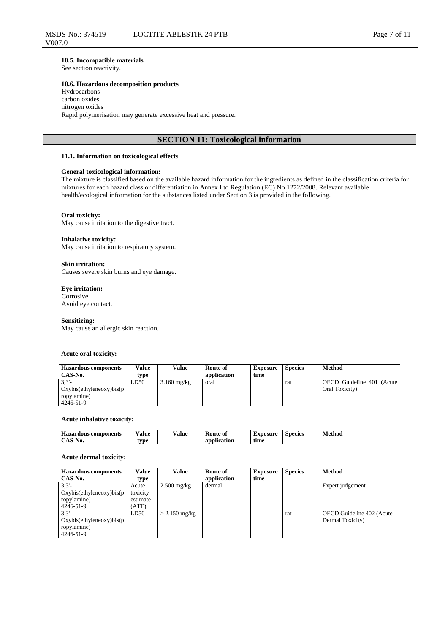#### **10.5. Incompatible materials**

See section reactivity.

#### **10.6. Hazardous decomposition products**

Hydrocarbons carbon oxides. nitrogen oxides Rapid polymerisation may generate excessive heat and pressure.

## **SECTION 11: Toxicological information**

#### **11.1. Information on toxicological effects**

## **General toxicological information:**

The mixture is classified based on the available hazard information for the ingredients as defined in the classification criteria for mixtures for each hazard class or differentiation in Annex I to Regulation (EC) No 1272/2008. Relevant available health/ecological information for the substances listed under Section 3 is provided in the following.

#### **Oral toxicity:**

May cause irritation to the digestive tract.

#### **Inhalative toxicity:**

May cause irritation to respiratory system.

#### **Skin irritation:**

Causes severe skin burns and eye damage.

#### **Eye irritation:**

Corrosive Avoid eye contact.

#### **Sensitizing:**

May cause an allergic skin reaction.

#### **Acute oral toxicity:**

| <b>Hazardous components</b><br>CAS-No.                       | Value<br>type | Value         | Route of<br>application | <b>Exposure</b><br>time | <b>Species</b> | <b>Method</b>                                |
|--------------------------------------------------------------|---------------|---------------|-------------------------|-------------------------|----------------|----------------------------------------------|
| 3.3'<br>Oxybis(ethyleneoxy)bis(p<br>ropylamine)<br>4246-51-9 | LD50          | $3.160$ mg/kg | oral                    |                         | rat            | OECD Guideline 401 (Acute)<br>Oral Toxicity) |

#### **Acute inhalative toxicity:**

| $\mathbf{u}_{\alpha\alpha\alpha}$<br>components | . .<br>⁄ alue<br>. | ⁄ alue<br>. | <b>Route of</b><br>__    | txposure    | Species | . .<br>Method<br>$\sim$<br>. |
|-------------------------------------------------|--------------------|-------------|--------------------------|-------------|---------|------------------------------|
| A C<br>DO C<br>151                              | vne                |             | $\mathbf{a}$<br>lication | . .<br>time |         |                              |

#### **Acute dermal toxicity:**

| <b>Hazardous</b> components | Value    | <b>Value</b>    | Route of    | <b>Exposure</b> | <b>Species</b> | <b>Method</b>             |
|-----------------------------|----------|-----------------|-------------|-----------------|----------------|---------------------------|
| CAS-No.                     | type     |                 | application | time            |                |                           |
| 3.3'                        | Acute    | $2.500$ mg/kg   | dermal      |                 |                | Expert judgement          |
| Oxybis(ethyleneoxy)bis(p    | toxicity |                 |             |                 |                |                           |
| ropylamine)                 | estimate |                 |             |                 |                |                           |
| 4246-51-9                   | (ATE)    |                 |             |                 |                |                           |
| 3.3'                        | LD50     | $> 2.150$ mg/kg |             |                 | rat            | OECD Guideline 402 (Acute |
| Oxybis(ethyleneoxy)bis(p    |          |                 |             |                 |                | Dermal Toxicity)          |
| ropylamine)                 |          |                 |             |                 |                |                           |
| 4246-51-9                   |          |                 |             |                 |                |                           |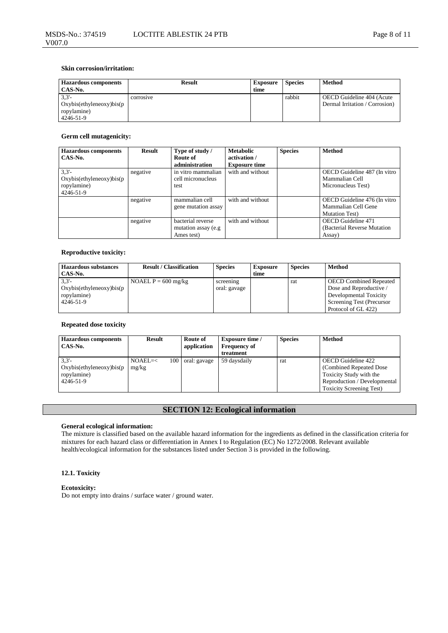## **Skin corrosion/irritation:**

| <b>Hazardous components</b><br>CAS-No.                       | <b>Result</b> | <b>Exposure</b><br>time | <b>Species</b> | Method                                                      |
|--------------------------------------------------------------|---------------|-------------------------|----------------|-------------------------------------------------------------|
| 3.3'<br>Oxybis(ethyleneoxy)bis(p<br>ropylamine)<br>4246-51-9 | corrosive     |                         | rabbit         | OECD Guideline 404 (Acute<br>Dermal Irritation / Corrosion) |

### **Germ cell mutagenicity:**

| <b>Hazardous</b> components | <b>Result</b> | Type of study /      | <b>Metabolic</b>     | <b>Species</b> | <b>Method</b>                |
|-----------------------------|---------------|----------------------|----------------------|----------------|------------------------------|
| CAS-No.                     |               | Route of             | activation /         |                |                              |
|                             |               | administration       | <b>Exposure time</b> |                |                              |
| 3.3'                        | negative      | in vitro mammalian   | with and without     |                | OECD Guideline 487 (In vitro |
| Oxybis(ethyleneoxy)bis(p    |               | cell micronucleus    |                      |                | Mammalian Cell               |
| ropylamine)                 |               | test                 |                      |                | Micronucleus Test)           |
| 4246-51-9                   |               |                      |                      |                |                              |
|                             | negative      | mammalian cell       | with and without     |                | OECD Guideline 476 (In vitro |
|                             |               | gene mutation assay  |                      |                | Mammalian Cell Gene          |
|                             |               |                      |                      |                | <b>Mutation Test</b> )       |
|                             | negative      | bacterial reverse    | with and without     |                | OECD Guideline 471           |
|                             |               | mutation assay (e.g. |                      |                | (Bacterial Reverse Mutation) |
|                             |               | Ames test)           |                      |                | Assay)                       |

## **Reproductive toxicity:**

| <b>Hazardous substances</b><br>CAS-No.                       | <b>Result / Classification</b> | <b>Species</b>            | <b>Exposure</b><br>time | <b>Species</b> | Method                                                                                                                                 |
|--------------------------------------------------------------|--------------------------------|---------------------------|-------------------------|----------------|----------------------------------------------------------------------------------------------------------------------------------------|
| 3.3'<br>Oxybis(ethyleneoxy)bis(p<br>ropylamine)<br>4246-51-9 | NOAEL $P = 600$ mg/kg          | screening<br>oral: gavage |                         | rat            | <b>OECD</b> Combined Repeated<br>Dose and Reproductive /<br>Developmental Toxicity<br>Screening Test (Precursor<br>Protocol of GL 422) |

## **Repeated dose toxicity**

| <b>Hazardous components</b><br>CAS-No.                       | Result                    | Route of<br>application | <b>Exposure time</b> /<br><b>Frequency of</b><br>treatment | <b>Species</b> | <b>Method</b>                                                                                                                                |
|--------------------------------------------------------------|---------------------------|-------------------------|------------------------------------------------------------|----------------|----------------------------------------------------------------------------------------------------------------------------------------------|
| 3.3'<br>Oxybis(ethyleneoxy)bis(p<br>ropylamine)<br>4246-51-9 | 100<br>$NOAEL=<$<br>mg/kg | oral: gavage            | 59 daysdaily                                               | rat            | OECD Guideline 422<br>(Combined Repeated Dose)<br>Toxicity Study with the<br>Reproduction / Developmental<br><b>Toxicity Screening Test)</b> |

## **SECTION 12: Ecological information**

## **General ecological information:**

The mixture is classified based on the available hazard information for the ingredients as defined in the classification criteria for mixtures for each hazard class or differentiation in Annex I to Regulation (EC) No 1272/2008. Relevant available health/ecological information for the substances listed under Section 3 is provided in the following.

## **12.1. Toxicity**

#### **Ecotoxicity:**

Do not empty into drains / surface water / ground water.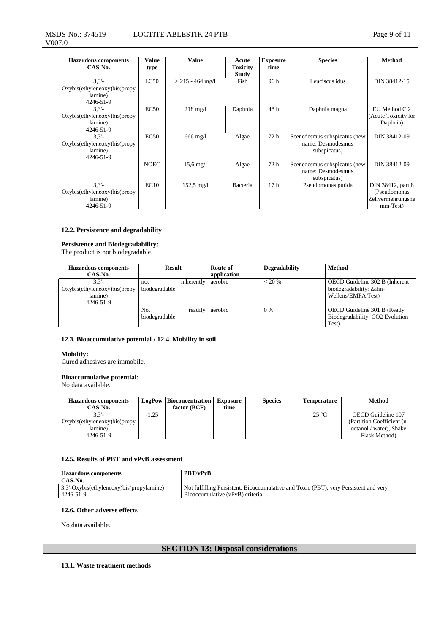#### MSDS-No.: 374519 V007.0 LOCTITE ABLESTIK 24 PTB Page 9 of 11

| <b>Hazardous components</b>  | Value       | <b>Value</b>           | Acute           | <b>Exposure</b> | <b>Species</b>               | Method              |
|------------------------------|-------------|------------------------|-----------------|-----------------|------------------------------|---------------------|
| CAS-No.                      | type        |                        | <b>Toxicity</b> | time            |                              |                     |
|                              |             |                        | <b>Study</b>    |                 |                              |                     |
| 3.3'                         | LC50        | $>$ 215 - 464 mg/l     | Fish            | 96 h            | Leuciscus idus               | DIN 38412-15        |
| Oxybis(ethyleneoxy)bis(propy |             |                        |                 |                 |                              |                     |
| lamine)                      |             |                        |                 |                 |                              |                     |
| $4246 - 51 - 9$              |             |                        |                 |                 |                              |                     |
| 3.3'                         | EC50        | $218 \text{ mg}/1$     | Daphnia         | 48h             | Daphnia magna                | EU Method C.2       |
| Oxybis(ethyleneoxy)bis(propy |             |                        |                 |                 |                              | (Acute Toxicity for |
| lamine)                      |             |                        |                 |                 |                              | Daphnia)            |
| 4246-51-9                    |             |                        |                 |                 |                              |                     |
| 3.3'                         | EC50        | $666 \text{ mg}/l$     | Algae           | 72 h            | Scenedesmus subspicatus (new | DIN 38412-09        |
| Oxybis(ethyleneoxy)bis(propy |             |                        |                 |                 | name: Desmodesmus            |                     |
| lamine)                      |             |                        |                 |                 | subspicatus)                 |                     |
| 4246-51-9                    |             |                        |                 |                 |                              |                     |
|                              | <b>NOEC</b> | $15.6 \,\mathrm{mg}/l$ | Algae           | 72 h            | Scenedesmus subspicatus (new | DIN 38412-09        |
|                              |             |                        |                 |                 | name: Desmodesmus            |                     |
|                              |             |                        |                 |                 | subspicatus)                 |                     |
| 3.3'                         | EC10        | $152,5 \text{ mg}/1$   | Bacteria        | 17 <sub>h</sub> | Pseudomonas putida           | DIN 38412, part 8   |
| Oxybis(ethyleneoxy)bis(propy |             |                        |                 |                 |                              | (Pseudomonas        |
| lamine)                      |             |                        |                 |                 |                              | Zellvermehrungshe   |
| 4246-51-9                    |             |                        |                 |                 |                              | mm-Test)            |

## **12.2. Persistence and degradability**

#### **Persistence and Biodegradability:**

The product is not biodegradable.

| <b>Hazardous components</b>  | Result         |            | Route of    | <b>Degradability</b> | <b>Method</b>                   |
|------------------------------|----------------|------------|-------------|----------------------|---------------------------------|
| CAS-No.                      |                |            | application |                      |                                 |
| 3.3'                         | not            | inherently | aerobic     | $< 20\%$             | OECD Guideline 302 B (Inherent  |
| Oxybis(ethyleneoxy)bis(propy | biodegradable  |            |             |                      | biodegradability: Zahn-         |
| lamine)                      |                |            |             |                      | Wellens/EMPA Test)              |
| 4246-51-9                    |                |            |             |                      |                                 |
|                              | Not            | readily    | aerobic     | 0 %                  | OECD Guideline 301 B (Ready     |
|                              | biodegradable. |            |             |                      | Biodegradability: CO2 Evolution |
|                              |                |            |             |                      | Test)                           |

#### **12.3. Bioaccumulative potential / 12.4. Mobility in soil**

#### **Mobility:**

Cured adhesives are immobile.

#### **Bioaccumulative potential:**

No data available.

| <b>Hazardous components</b><br>CAS-No. |         | <b>LogPow</b> Bioconcentration<br>$factor$ (BCF) | <b>Exposure</b><br>time | <b>Species</b> | <b>Temperature</b> | <b>Method</b>              |
|----------------------------------------|---------|--------------------------------------------------|-------------------------|----------------|--------------------|----------------------------|
| $3.3 -$                                | $-1.25$ |                                                  |                         |                | $25^{\circ}$ C     | OECD Guideline 107         |
| Oxybis(ethyleneoxy)bis(propy)          |         |                                                  |                         |                |                    | (Partition Coefficient (n- |
| lamine)                                |         |                                                  |                         |                |                    | octanol / water), Shake    |
| 4246-51-9                              |         |                                                  |                         |                |                    | Flask Method)              |

## **12.5. Results of PBT and vPvB assessment**

| <b>Hazardous components</b>                        | <b>PBT/vPvB</b>                                                                      |
|----------------------------------------------------|--------------------------------------------------------------------------------------|
| CAS-No.                                            |                                                                                      |
| $\frac{3}{3}$ -Oxybis(ethyleneoxy)bis(propylamine) | Not fulfilling Persistent, Bioaccumulative and Toxic (PBT), very Persistent and very |
| 4246-51-9                                          | Bioaccumulative (vPvB) criteria.                                                     |

## **12.6. Other adverse effects**

No data available.

## **SECTION 13: Disposal considerations**

## **13.1. Waste treatment methods**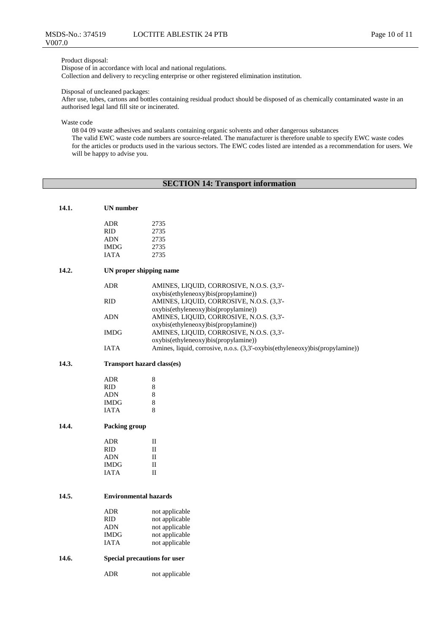# Product disposal:

V007.0

Dispose of in accordance with local and national regulations. Collection and delivery to recycling enterprise or other registered elimination institution.

### Disposal of uncleaned packages:

After use, tubes, cartons and bottles containing residual product should be disposed of as chemically contaminated waste in an authorised legal land fill site or incinerated.

Waste code

08 04 09 waste adhesives and sealants containing organic solvents and other dangerous substances

The valid EWC waste code numbers are source-related. The manufacturer is therefore unable to specify EWC waste codes for the articles or products used in the various sectors. The EWC codes listed are intended as a recommendation for users. We will be happy to advise you.

## **SECTION 14: Transport information**

| 14.1. | UN number |      |
|-------|-----------|------|
|       | ADR       | 2735 |
|       | RID       | 2735 |

| RID  | 2735 |
|------|------|
| ADN  | 2735 |
| IMDG | 2735 |
| IATA | 2735 |
|      |      |

## **14.2. UN proper shipping name**

| ADR         | AMINES, LIQUID, CORROSIVE, N.O.S. (3,3'-<br>oxybis(ethyleneoxy)bis(propylamine)) |
|-------------|----------------------------------------------------------------------------------|
| <b>RID</b>  | AMINES, LIQUID, CORROSIVE, N.O.S. (3,3'-                                         |
|             | oxybis(ethyleneoxy)bis(propylamine))                                             |
| <b>ADN</b>  | AMINES, LIQUID, CORROSIVE, N.O.S. (3,3'-                                         |
|             | oxybis(ethyleneoxy)bis(propylamine))                                             |
| <b>IMDG</b> | AMINES, LIQUID, CORROSIVE, N.O.S. (3,3'-                                         |
|             | oxybis(ethyleneoxy)bis(propylamine))                                             |
| <b>IATA</b> | Amines, liquid, corrosive, n.o.s. (3,3'-oxybis(ethyleneoxy)bis(propylamine))     |
|             |                                                                                  |

## **14.3. Transport hazard class(es)**

| ADR         | 8 |
|-------------|---|
| <b>RID</b>  | 8 |
| <b>ADN</b>  | 8 |
| <b>IMDG</b> | 8 |
| <b>IATA</b> | 8 |

## **14.4. Packing group**

| ADR         | П |
|-------------|---|
| <b>RID</b>  | П |
| <b>ADN</b>  | П |
| <b>IMDG</b> | П |
| <b>JATA</b> | П |

### **14.5. Environmental hazards**

| <b>ADR</b>  | not applicable |
|-------------|----------------|
| <b>RID</b>  | not applicable |
| <b>ADN</b>  | not applicable |
| <b>IMDG</b> | not applicable |
| <b>IATA</b> | not applicable |

## **14.6. Special precautions for user**

ADR not applicable